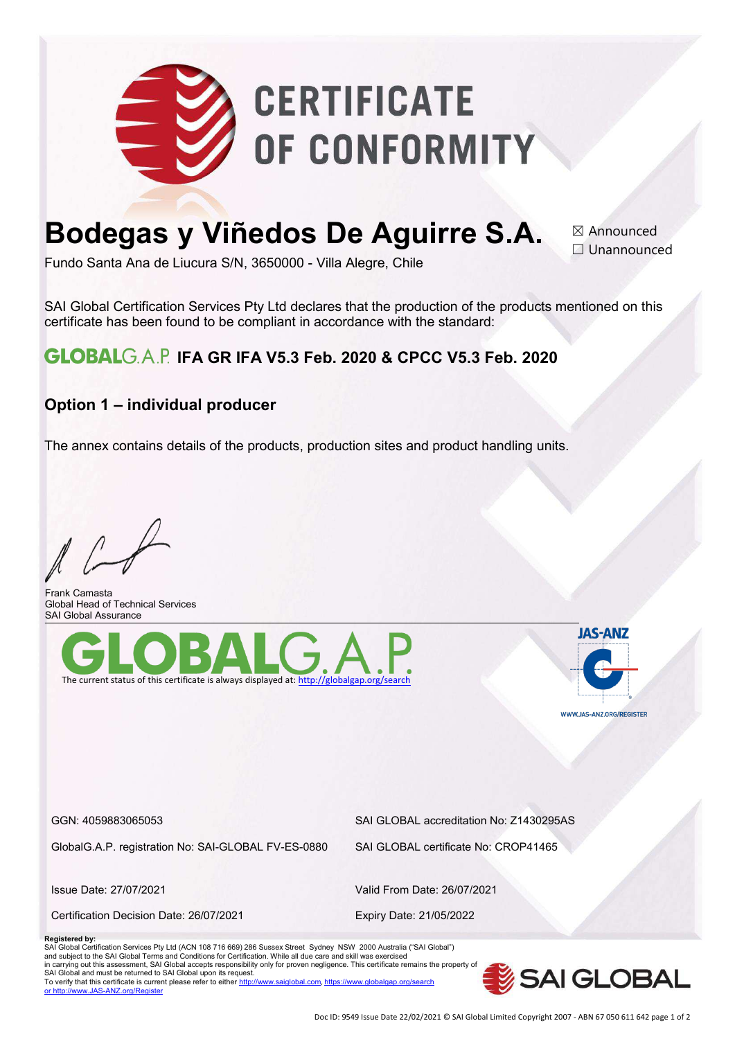

# **Bodegas y Viñedos De Aguirre S.A.**

☒ Announced □ Unannounced

Fundo Santa Ana de Liucura S/N, 3650000 - Villa Alegre, Chile

SAI Global Certification Services Pty Ltd declares that the production of the products mentioned on this certificate has been found to be compliant in accordance with the standard:

## **GLOBAL**G.A.P. IFA GR IFA V5.3 Feb. 2020 & CPCC V5.3 Feb. 2020

### **Option 1 – individual producer**

The annex contains details of the products, production sites and product handling units.

Frank Camasta Global Head of Technical Services SAI Global Assurance





GlobalG.A.P. registration No: SAI-GLOBAL FV-ES-0880 SAI GLOBAL certificate No: CROP41465

Certification Decision Date: 26/07/2021 Expiry Date: 21/05/2022

GGN: 4059883065053 SAI GLOBAL accreditation No: Z1430295AS

Issue Date: 27/07/2021 Valid From Date: 26/07/2021

#### **Registered by:**

SAI Global Certification Services Pty Ltd (ACN 108 716 669) 286 Sussex Street Sydney NSW 2000 Australia ("SAI Global")<br>and subject to the SAI Global Terms and Conditions for Certification. While all due care and skill w in carrying out this assessment, SAI Global accepts responsibility only for proven negligence. This certificate remains the property of SAI Global and must be returned to SAI Global upon its request. To verify that this certificate is current please refer to eithe[r http://www.saiglobal.com](http://www.saiglobal.com/), https://ww or http:[//www.JAS-ANZ.org/Register](http://www.jas-anz.org/Register)

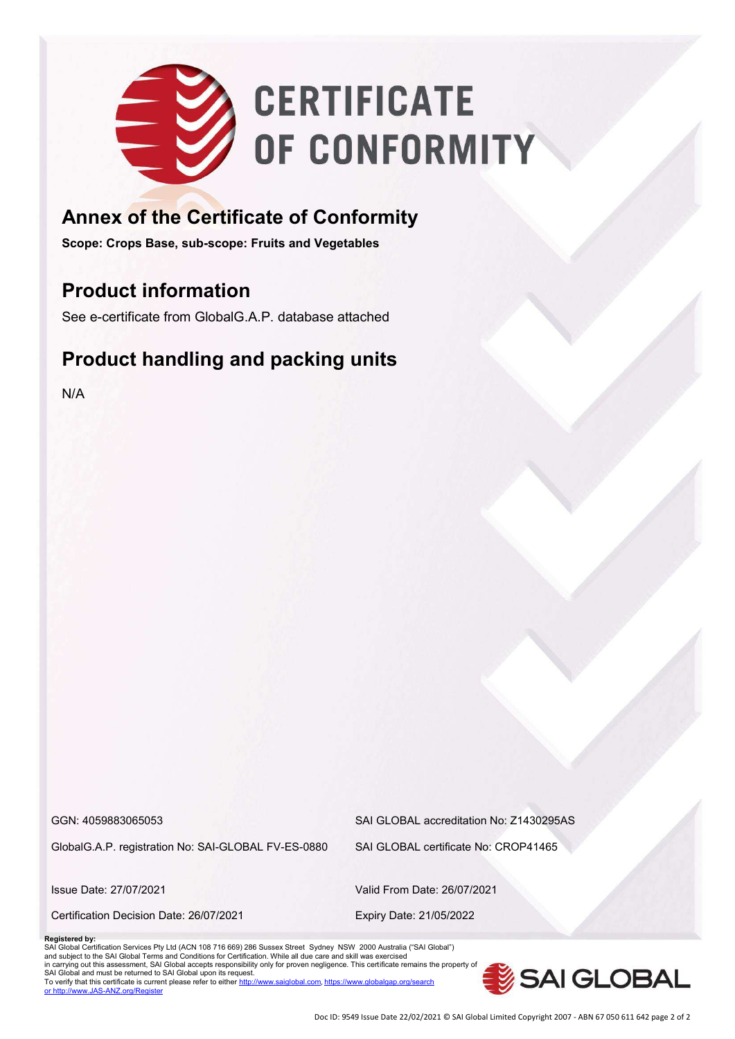

# **Annex of the Certificate of Conformity**

**Scope: Crops Base, sub-scope: Fruits and Vegetables** 

# **Product information**

See e-certificate from GlobalG.A.P. database attached

# **Product handling and packing units**

N/A

GlobalG.A.P. registration No: SAI-GLOBAL FV-ES-0880 SAI GLOBAL certificate No: CROP41465

GGN: 4059883065053 SAI GLOBAL accreditation No: Z1430295AS

Certification Decision Date: 26/07/2021 Expiry Date: 21/05/2022

Issue Date: 27/07/2021 Valid From Date: 26/07/2021

#### **Registered by:**

SAI Global Certification Services Pty Ltd (ACN 108 716 669) 286 Sussex Street Sydney NSW 2000 Australia ("SAI Global")<br>and subject to the SAI Global Terms and Conditions for Certification. While all due care and skill w in carrying out this assessment, SAI Global accepts responsibility only for proven negligence. This certificate remains the property of SAI Global and must be returned to SAI Global upon its request. To verify that this certificate is current please refer to either http:// or http:[//www.JAS-ANZ.org/Register](http://www.jas-anz.org/Register)